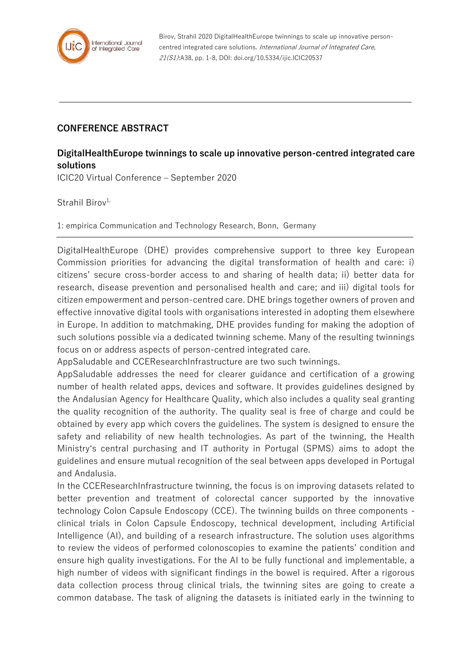

Birov, Strahil 2020 DigitalHealthEurope twinnings to scale up innovative personcentred integrated care solutions. International Journal of Integrated Care, 21(S1):A38, pp. 1-8, DOI: doi.org/10.5334/ijic.ICIC20537

## **CONFERENCE ABSTRACT**

## **DigitalHealthEurope twinnings to scale up innovative person-centred integrated care solutions**

ICIC20 Virtual Conference – September 2020

Strahil Birov<sup>1,</sup>

1: empirica Communication and Technology Research, Bonn, Germany

DigitalHealthEurope (DHE) provides comprehensive support to three key European Commission priorities for advancing the digital transformation of health and care: i) citizens' secure cross-border access to and sharing of health data; ii) better data for research, disease prevention and personalised health and care; and iii) digital tools for citizen empowerment and person-centred care. DHE brings together owners of proven and effective innovative digital tools with organisations interested in adopting them elsewhere in Europe. In addition to matchmaking, DHE provides funding for making the adoption of such solutions possible via a dedicated twinning scheme. Many of the resulting twinnings focus on or address aspects of person-centred integrated care.

AppSaludable and CCEResearchInfrastructure are two such twinnings.

AppSaludable addresses the need for clearer guidance and certification of a growing number of health related apps, devices and software. It provides guidelines designed by the Andalusian Agency for Healthcare Quality, which also includes a quality seal granting the quality recognition of the authority. The quality seal is free of charge and could be obtained by every app which covers the guidelines. The system is designed to ensure the safety and reliability of new health technologies. As part of the twinning, the Health Ministry's central purchasing and IT authority in Portugal (SPMS) aims to adopt the guidelines and ensure mutual recognition of the seal between apps developed in Portugal and Andalusia.

In the CCEResearchInfrastructure twinning, the focus is on improving datasets related to better prevention and treatment of colorectal cancer supported by the innovative technology Colon Capsule Endoscopy (CCE). The twinning builds on three components clinical trials in Colon Capsule Endoscopy, technical development, including Artificial Intelligence (AI), and building of a research infrastructure. The solution uses algorithms to review the videos of performed colonoscopies to examine the patients' condition and ensure high quality investigations. For the AI to be fully functional and implementable, a high number of videos with significant findings in the bowel is required. After a rigorous data collection process throug clinical trials, the twinning sites are going to create a common database. The task of aligning the datasets is initiated early in the twinning to